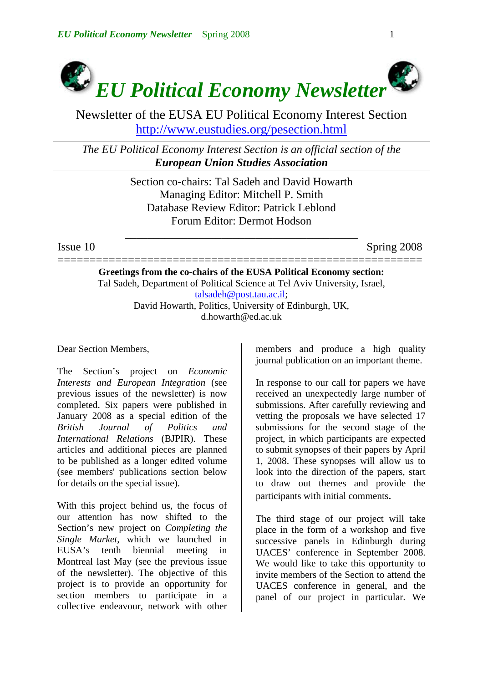

Newsletter of the EUSA EU Political Economy Interest Section http://www.eustudies.org/pesection.html

*The EU Political Economy Interest Section is an official section of the European Union Studies Association*

> Section co-chairs: Tal Sadeh and David Howarth Managing Editor: Mitchell P. Smith Database Review Editor: Patrick Leblond Forum Editor: Dermot Hodson

\_\_\_\_\_\_\_\_\_\_\_\_\_\_\_\_\_\_\_\_\_\_\_\_\_\_\_\_\_\_\_\_\_\_\_\_\_\_\_\_\_

Issue 10 Spring 2008

========================================================= **Greetings from the co-chairs of the EUSA Political Economy section:**  Tal Sadeh, Department of Political Science at Tel Aviv University, Israel, [talsadeh@post.tau.ac.il;](mailto:talsadeh@post.tau.ac.il) David Howarth, Politics, University of Edinburgh, UK, d.howarth@ed.ac.uk

Dear Section Members,

The Section's project on *Economic Interests and European Integration* (see previous issues of the newsletter) is now completed. Six papers were published in January 2008 as a special edition of the *British Journal of Politics and International Relations* (BJPIR). These articles and additional pieces are planned to be published as a longer edited volume (see members' publications section below for details on the special issue).

With this project behind us, the focus of our attention has now shifted to the Section's new project on *Completing the Single Market*, which we launched in EUSA's tenth biennial meeting in Montreal last May (see the previous issue of the newsletter). The objective of this project is to provide an opportunity for section members to participate in a collective endeavour, network with other

members and produce a high quality journal publication on an important theme.

In response to our call for papers we have received an unexpectedly large number of submissions. After carefully reviewing and vetting the proposals we have selected 17 submissions for the second stage of the project, in which participants are expected to submit synopses of their papers by April 1, 2008. These synopses will allow us to look into the direction of the papers, start to draw out themes and provide the participants with initial comments.

The third stage of our project will take place in the form of a workshop and five successive panels in Edinburgh during UACES' conference in September 2008. We would like to take this opportunity to invite members of the Section to attend the UACES conference in general, and the panel of our project in particular. We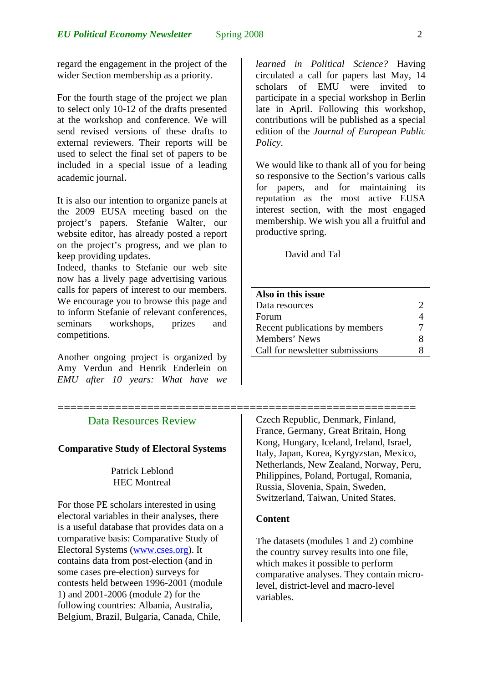regard the engagement in the project of the wider Section membership as a priority.

For the fourth stage of the project we plan to select only 10-12 of the drafts presented at the workshop and conference. We will send revised versions of these drafts to external reviewers. Their reports will be used to select the final set of papers to be included in a special issue of a leading academic journal.

It is also our intention to organize panels at the 2009 EUSA meeting based on the project's papers. Stefanie Walter, our website editor, has already posted a report on the project's progress, and we plan to keep providing updates.

Indeed, thanks to Stefanie our web site now has a lively page advertising various calls for papers of interest to our members. We encourage you to browse this page and to inform Stefanie of relevant conferences, seminars workshops, prizes and competitions.

Another ongoing project is organized by Amy Verdun and Henrik Enderlein on *EMU after 10 years: What have we* 

# Data Resources Review

### **Comparative Study of Electoral Systems**

## Patrick Leblond HEC Montreal

For those PE scholars interested in using electoral variables in their analyses, there is a useful database that provides data on a comparative basis: Comparative Study of Electoral Systems [\(www.cses.org](http://www.cses.org/)). It contains data from post-election (and in some cases pre-election) surveys for contests held between 1996-2001 (module 1) and 2001-2006 (module 2) for the following countries: Albania, Australia, Belgium, Brazil, Bulgaria, Canada, Chile,

*learned in Political Science?* Having circulated a call for papers last May, 14 scholars of EMU were invited to participate in a special workshop in Berlin late in April. Following this workshop, contributions will be published as a special edition of the *Journal of European Public Policy*.

We would like to thank all of you for being so responsive to the Section's various calls for papers, and for maintaining its reputation as the most active EUSA interest section, with the most engaged membership. We wish you all a fruitful and productive spring.

David and Tal

| Also in this issue              |  |
|---------------------------------|--|
| Data resources                  |  |
| Forum                           |  |
| Recent publications by members  |  |
| Members' News                   |  |
| Call for newsletter submissions |  |

======================================================== Czech Republic, Denmark, Finland, France, Germany, Great Britain, Hong Kong, Hungary, Iceland, Ireland, Israel, Italy, Japan, Korea, Kyrgyzstan, Mexico, Netherlands, New Zealand, Norway, Peru, Philippines, Poland, Portugal, Romania, Russia, Slovenia, Spain, Sweden, Switzerland, Taiwan, United States.

## **Content**

The datasets (modules 1 and 2) combine the country survey results into one file, which makes it possible to perform comparative analyses. They contain microlevel, district-level and macro-level variables.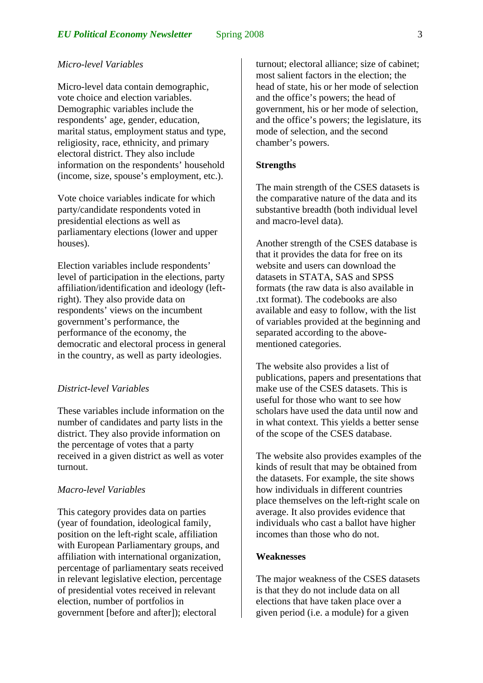## *Micro-level Variables*

Micro-level data contain demographic, vote choice and election variables. Demographic variables include the respondents' age, gender, education, marital status, employment status and type, religiosity, race, ethnicity, and primary electoral district. They also include information on the respondents' household (income, size, spouse's employment, etc.).

Vote choice variables indicate for which party/candidate respondents voted in presidential elections as well as parliamentary elections (lower and upper houses).

Election variables include respondents' level of participation in the elections, party affiliation/identification and ideology (leftright). They also provide data on respondents' views on the incumbent government's performance, the performance of the economy, the democratic and electoral process in general in the country, as well as party ideologies.

## *District-level Variables*

These variables include information on the number of candidates and party lists in the district. They also provide information on the percentage of votes that a party received in a given district as well as voter turnout.

### *Macro-level Variables*

This category provides data on parties (year of foundation, ideological family, position on the left-right scale, affiliation with European Parliamentary groups, and affiliation with international organization, percentage of parliamentary seats received in relevant legislative election, percentage of presidential votes received in relevant election, number of portfolios in government [before and after]); electoral

turnout; electoral alliance; size of cabinet; most salient factors in the election; the head of state, his or her mode of selection and the office's powers; the head of government, his or her mode of selection, and the office's powers; the legislature, its mode of selection, and the second chamber's powers.

### **Strengths**

The main strength of the CSES datasets is the comparative nature of the data and its substantive breadth (both individual level and macro-level data).

Another strength of the CSES database is that it provides the data for free on its website and users can download the datasets in STATA, SAS and SPSS formats (the raw data is also available in .txt format). The codebooks are also available and easy to follow, with the list of variables provided at the beginning and separated according to the abovementioned categories.

The website also provides a list of publications, papers and presentations that make use of the CSES datasets. This is useful for those who want to see how scholars have used the data until now and in what context. This yields a better sense of the scope of the CSES database.

The website also provides examples of the kinds of result that may be obtained from the datasets. For example, the site shows how individuals in different countries place themselves on the left-right scale on average. It also provides evidence that individuals who cast a ballot have higher incomes than those who do not.

## **Weaknesses**

The major weakness of the CSES datasets is that they do not include data on all elections that have taken place over a given period (i.e. a module) for a given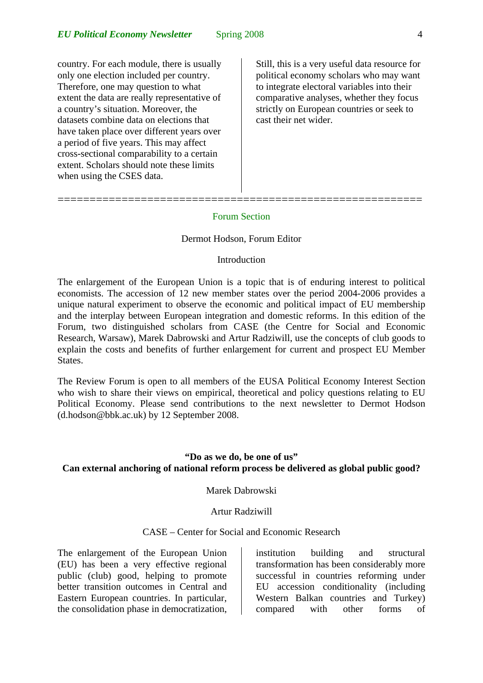country. For each module, there is usually only one election included per country. Therefore, one may question to what extent the data are really representative of a country's situation. Moreover, the datasets combine data on elections that have taken place over different years over a period of five years. This may affect cross-sectional comparability to a certain extent. Scholars should note these limits when using the CSES data.

=========================================================

Still, this is a very useful data resource for political economy scholars who may want to integrate electoral variables into their comparative analyses, whether they focus strictly on European countries or seek to cast their net wider.

#### Forum Section

#### Dermot Hodson, Forum Editor

### Introduction

The enlargement of the European Union is a topic that is of enduring interest to political economists. The accession of 12 new member states over the period 2004-2006 provides a unique natural experiment to observe the economic and political impact of EU membership and the interplay between European integration and domestic reforms. In this edition of the Forum, two distinguished scholars from CASE (the Centre for Social and Economic Research, Warsaw), Marek Dabrowski and Artur Radziwill, use the concepts of club goods to explain the costs and benefits of further enlargement for current and prospect EU Member States.

The Review Forum is open to all members of the EUSA Political Economy Interest Section who wish to share their views on empirical, theoretical and policy questions relating to EU Political Economy. Please send contributions to the next newsletter to Dermot Hodson (d.hodson@bbk.ac.uk) by 12 September 2008.

## **"Do as we do, be one of us" Can external anchoring of national reform process be delivered as global public good?**

Marek Dabrowski

### Artur Radziwill

## CASE – Center for Social and Economic Research

The enlargement of the European Union (EU) has been a very effective regional public (club) good, helping to promote better transition outcomes in Central and Eastern European countries. In particular, the consolidation phase in democratization,

institution building and structural transformation has been considerably more successful in countries reforming under EU accession conditionality (including Western Balkan countries and Turkey) compared with other forms of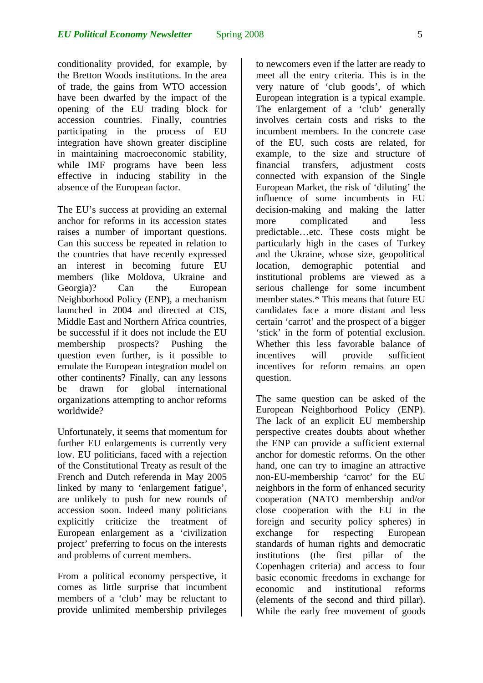conditionality provided, for example, by the Bretton Woods institutions. In the area of trade, the gains from WTO accession have been dwarfed by the impact of the opening of the EU trading block for accession countries. Finally, countries participating in the process of EU integration have shown greater discipline in maintaining macroeconomic stability, while IMF programs have been less effective in inducing stability in the absence of the European factor.

The EU's success at providing an external anchor for reforms in its accession states raises a number of important questions. Can this success be repeated in relation to the countries that have recently expressed an interest in becoming future EU members (like Moldova, Ukraine and Georgia)? Can the European Neighborhood Policy (ENP), a mechanism launched in 2004 and directed at CIS, Middle East and Northern Africa countries, be successful if it does not include the EU membership prospects? Pushing the question even further, is it possible to emulate the European integration model on other continents? Finally, can any lessons be drawn for global international organizations attempting to anchor reforms worldwide?

Unfortunately, it seems that momentum for further EU enlargements is currently very low. EU politicians, faced with a rejection of the Constitutional Treaty as result of the French and Dutch referenda in May 2005 linked by many to 'enlargement fatigue', are unlikely to push for new rounds of accession soon. Indeed many politicians explicitly criticize the treatment of European enlargement as a 'civilization project' preferring to focus on the interests and problems of current members.

From a political economy perspective, it comes as little surprise that incumbent members of a 'club' may be reluctant to provide unlimited membership privileges to newcomers even if the latter are ready to meet all the entry criteria. This is in the very nature of 'club goods', of which European integration is a typical example. The enlargement of a 'club' generally involves certain costs and risks to the incumbent members. In the concrete case of the EU, such costs are related, for example, to the size and structure of financial transfers, adjustment costs connected with expansion of the Single European Market, the risk of 'diluting' the influence of some incumbents in EU decision-making and making the latter more complicated and less predictable…etc. These costs might be particularly high in the cases of Turkey and the Ukraine, whose size, geopolitical location, demographic potential and institutional problems are viewed as a serious challenge for some incumbent member states.\* This means that future EU candidates face a more distant and less certain 'carrot' and the prospect of a bigger 'stick' in the form of potential exclusion. Whether this less favorable balance of incentives will provide sufficient incentives for reform remains an open question.

The same question can be asked of the European Neighborhood Policy (ENP). The lack of an explicit EU membership perspective creates doubts about whether the ENP can provide a sufficient external anchor for domestic reforms. On the other hand, one can try to imagine an attractive non-EU-membership 'carrot' for the EU neighbors in the form of enhanced security cooperation (NATO membership and/or close cooperation with the EU in the foreign and security policy spheres) in exchange for respecting European standards of human rights and democratic institutions (the first pillar of the Copenhagen criteria) and access to four basic economic freedoms in exchange for economic and institutional reforms (elements of the second and third pillar). While the early free movement of goods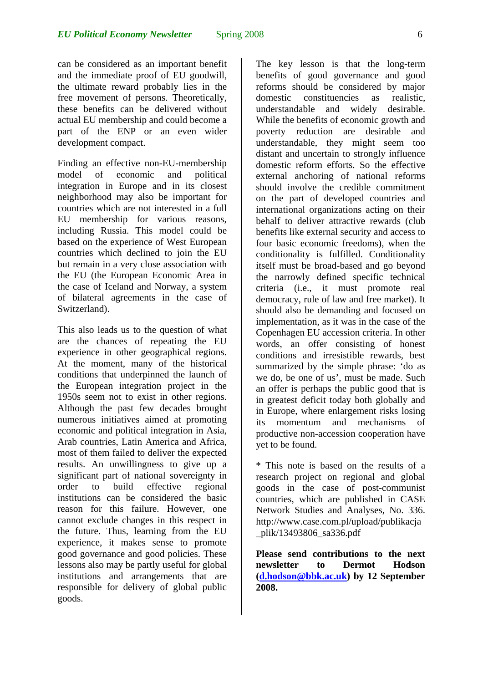can be considered as an important benefit and the immediate proof of EU goodwill, the ultimate reward probably lies in the free movement of persons. Theoretically, these benefits can be delivered without actual EU membership and could become a part of the ENP or an even wider development compact.

Finding an effective non-EU-membership model of economic and political integration in Europe and in its closest neighborhood may also be important for countries which are not interested in a full EU membership for various reasons, including Russia. This model could be based on the experience of West European countries which declined to join the EU but remain in a very close association with the EU (the European Economic Area in the case of Iceland and Norway, a system of bilateral agreements in the case of Switzerland).

This also leads us to the question of what are the chances of repeating the EU experience in other geographical regions. At the moment, many of the historical conditions that underpinned the launch of the European integration project in the 1950s seem not to exist in other regions. Although the past few decades brought numerous initiatives aimed at promoting economic and political integration in Asia, Arab countries, Latin America and Africa, most of them failed to deliver the expected results. An unwillingness to give up a significant part of national sovereignty in order to build effective regional institutions can be considered the basic reason for this failure. However, one cannot exclude changes in this respect in the future. Thus, learning from the EU experience, it makes sense to promote good governance and good policies. These lessons also may be partly useful for global institutions and arrangements that are responsible for delivery of global public goods.

The key lesson is that the long-term benefits of good governance and good reforms should be considered by major domestic constituencies as realistic, understandable and widely desirable. While the benefits of economic growth and poverty reduction are desirable and understandable, they might seem too distant and uncertain to strongly influence domestic reform efforts. So the effective external anchoring of national reforms should involve the credible commitment on the part of developed countries and international organizations acting on their behalf to deliver attractive rewards (club benefits like external security and access to four basic economic freedoms), when the conditionality is fulfilled. Conditionality itself must be broad-based and go beyond the narrowly defined specific technical criteria (i.e., it must promote real democracy, rule of law and free market). It should also be demanding and focused on implementation, as it was in the case of the Copenhagen EU accession criteria. In other words, an offer consisting of honest conditions and irresistible rewards, best summarized by the simple phrase: 'do as we do, be one of us', must be made. Such an offer is perhaps the public good that is in greatest deficit today both globally and in Europe, where enlargement risks losing its momentum and mechanisms of productive non-accession cooperation have yet to be found.

\* This note is based on the results of a research project on regional and global goods in the case of post-communist countries, which are published in CASE Network Studies and Analyses, No. 336. http://www.case.com.pl/upload/publikacja \_plik/13493806\_sa336.pdf

**Please send contributions to the next newsletter to Dermot Hodson ([d.hodson@bbk.ac.uk\)](mailto:d.hodson@bbk.ac.uk) by 12 September 2008.**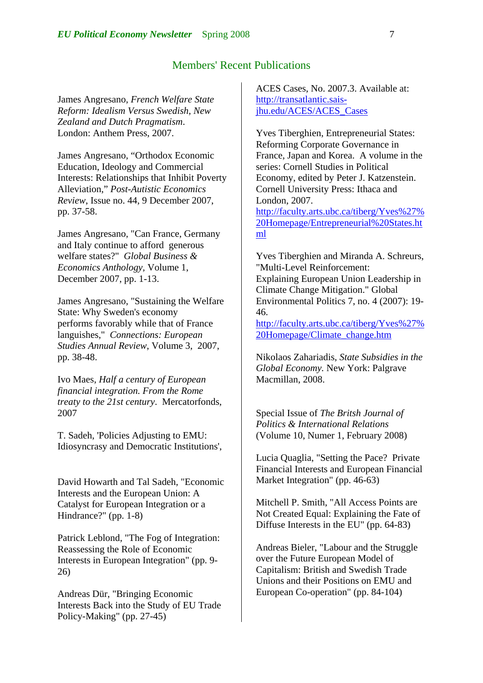# Members' Recent Publications

James Angresano, *French Welfare State Reform: Idealism Versus Swedish, New Zealand and Dutch Pragmatism*. London: Anthem Press, 2007.

James Angresano, "Orthodox Economic Education, Ideology and Commercial Interests: Relationships that Inhibit Poverty Alleviation," *Post-Autistic Economics Review*, Issue no. 44, 9 December 2007, pp. 37-58.

James Angresano, "Can France, Germany and Italy continue to afford generous welfare states?" *Global Business & Economics Anthology,* Volume 1, December 2007, pp. 1-13.

James Angresano, "Sustaining the Welfare State: Why Sweden's economy performs favorably while that of France languishes," *Connections: European Studies Annual Review*, Volume 3, 2007, pp. 38-48.

Ivo Maes, *Half a century of European financial integration. From the Rome treaty to the 21st century*. Mercatorfonds, 2007

T. Sadeh, 'Policies Adjusting to EMU: Idiosyncrasy and Democratic Institutions',

David Howarth and Tal Sadeh, "Economic Interests and the European Union: A Catalyst for European Integration or a Hindrance?" (pp. 1-8)

Patrick Leblond, "The Fog of Integration: Reassessing the Role of Economic Interests in European Integration" (pp. 9- 26)

Andreas Dür, "Bringing Economic Interests Back into the Study of EU Trade Policy-Making" (pp. 27-45)

ACES Cases, No. 2007.3. Available at: [http://transatlantic.sais](https://exchange.ou.edu/owa/redir.aspx?C=3735b335cfc74c1886bb5e85b2327845&URL=http%3a%2f%2ftransatlantic.sais-jhu.edu%2fACES%2fACES_Cases)[jhu.edu/ACES/ACES\\_Cases](https://exchange.ou.edu/owa/redir.aspx?C=3735b335cfc74c1886bb5e85b2327845&URL=http%3a%2f%2ftransatlantic.sais-jhu.edu%2fACES%2fACES_Cases)

Yves Tiberghien, Entrepreneurial States: Reforming Corporate Governance in France, Japan and Korea. A volume in the series: Cornell Studies in Political Economy, edited by Peter J. Katzenstein. Cornell University Press: Ithaca and London, 2007. [http://faculty.arts.ubc.ca/tiberg/Yves%27%](https://exchange.ou.edu/owa/redir.aspx?C=3735b335cfc74c1886bb5e85b2327845&URL=http%3a%2f%2ffaculty.arts.ubc.ca%2ftiberg%2fYves%27%20Homepage%2fEntrepreneurial%20State) [20Homepage/Entrepreneurial%20States](https://exchange.ou.edu/owa/redir.aspx?C=3735b335cfc74c1886bb5e85b2327845&URL=http%3a%2f%2ffaculty.arts.ubc.ca%2ftiberg%2fYves%27%20Homepage%2fEntrepreneurial%20State).ht

ml

Yves Tiberghien and Miranda A. Schreurs, "Multi-Level Reinforcement: Explaining European Union Leadership in Climate Change Mitigation." Global Environmental Politics 7, no. 4 (2007): 19- 46.

[http://faculty.arts.ubc.ca/tiberg/Yves%27%](https://exchange.ou.edu/owa/redir.aspx?C=3735b335cfc74c1886bb5e85b2327845&URL=http%3a%2f%2ffaculty.arts.ubc.ca%2ftiberg%2fYves%27%20Homepage%2fClimate_change.htm) [20Homepage/Climate\\_change.htm](https://exchange.ou.edu/owa/redir.aspx?C=3735b335cfc74c1886bb5e85b2327845&URL=http%3a%2f%2ffaculty.arts.ubc.ca%2ftiberg%2fYves%27%20Homepage%2fClimate_change.htm)

Nikolaos Zahariadis, *State Subsidies in the Global Economy.* New York: Palgrave Macmillan, 2008.

Special Issue of *The Britsh Journal of Politics & International Relations* (Volume 10, Numer 1, February 2008)

Lucia Quaglia, "Setting the Pace? Private Financial Interests and European Financial Market Integration" (pp. 46-63)

Mitchell P. Smith, "All Access Points are Not Created Equal: Explaining the Fate of Diffuse Interests in the EU" (pp. 64-83)

Andreas Bieler, "Labour and the Struggle over the Future European Model of Capitalism: British and Swedish Trade Unions and their Positions on EMU and European Co-operation" (pp. 84-104)